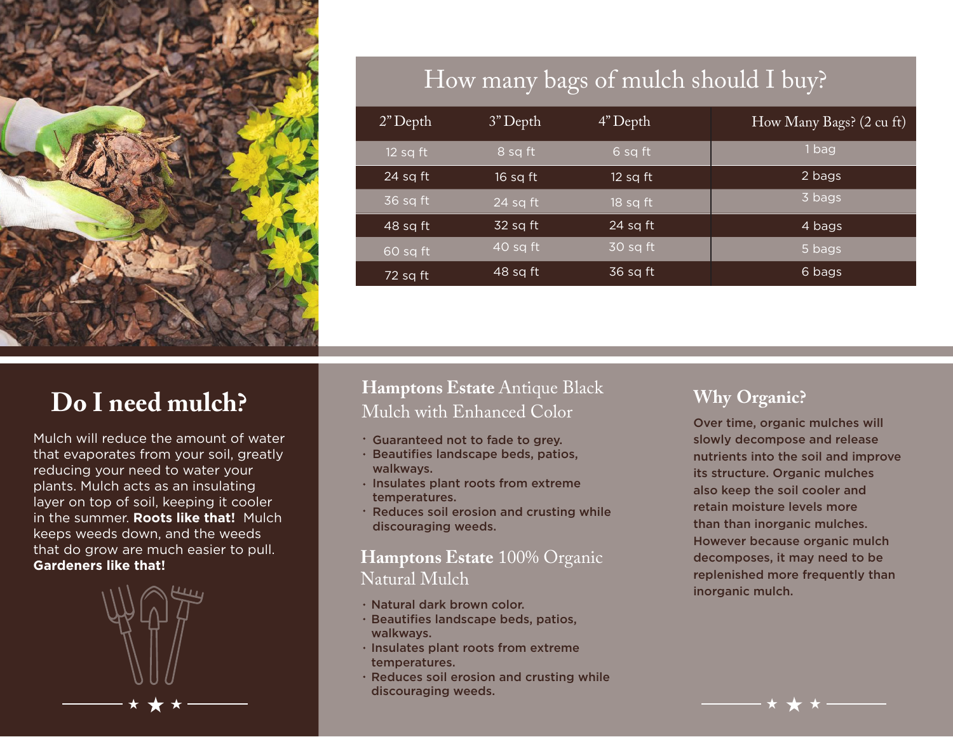

# How many bags of mulch should I buy?

| $2"$ Depth | $3"$ Depth                            | $4"$ Depth | How Many Bags? (2 cu ft) |
|------------|---------------------------------------|------------|--------------------------|
| $12$ sq ft | 8 sq ft                               | 6 sq ft    | 1 bag                    |
| $24$ sq ft | 16 sq ft                              | 12 sq ft   | 2 bags                   |
| 36 sq ft   | $\overline{124}$ sq ft $\overline{1}$ | 18 sq ft   | 3 bags                   |
| $48$ sq ft | $32$ sq ft                            | $24$ sq ft | 4 bags                   |
| 60 sq ft   | $\overline{40}$ sq ft                 | 30 sq ft   | 5 bags                   |
| 72 sq ft   | 48 sq ft                              | 36 sq ft   | 6 bags                   |

# **Do I need mulch?**

Mulch will reduce the amount of water that evaporates from your soil, greatly reducing your need to water your plants. Mulch acts as an insulating layer on top of soil, keeping it cooler in the summer. **Roots like that!** Mulch keeps weeds down, and the weeds that do grow are much easier to pull. **Gardeners like that!**



#### **Hamptons Estate** Antique Black Mulch with Enhanced Color

- Guaranteed not to fade to grey.
- $\cdot$  Beautifies landscape beds, patios, walkways.
- $\cdot$  Insulates plant roots from extreme temperatures.
- Reduces soil erosion and crusting while discouraging weeds.

#### **Hamptons Estate** 100% Organic Natural Mulch

- Natural dark brown color.
- Beautifies landscape beds, patios, walkways.
- $\cdot$  Insulates plant roots from extreme temperatures.
- $\cdot$  Reduces soil erosion and crusting while discouraging weeds.

#### **Why Organic?**

Over time, organic mulches will slowly decompose and release nutrients into the soil and improve its structure. Organic mulches also keep the soil cooler and retain moisture levels more than than inorganic mulches. However because organic mulch decomposes, it may need to be replenished more frequently than inorganic mulch.